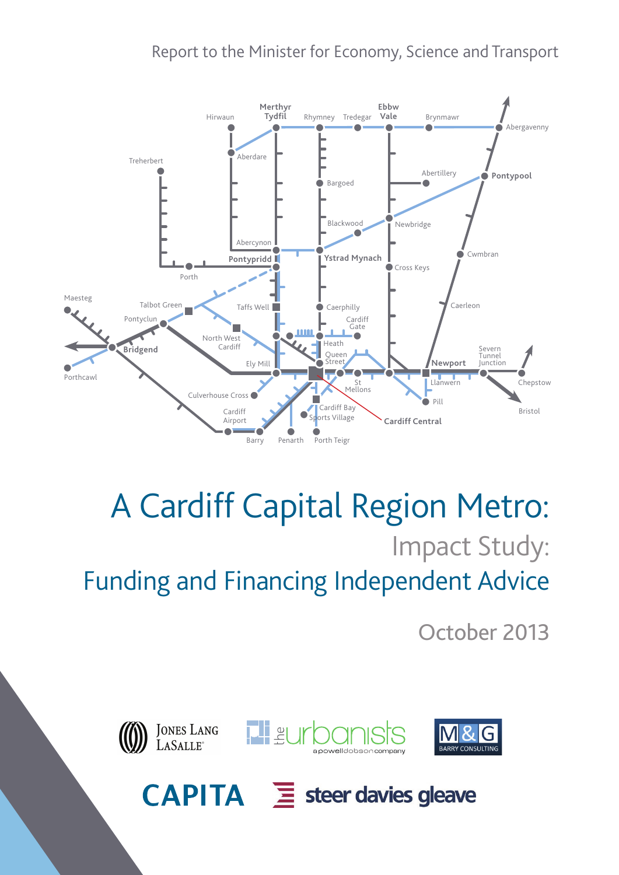### Report to the Minister for Economy, Science and Transport



# A Cardiff Capital Region Metro: Impact Study: Funding and Financing Independent Advice

October 2013

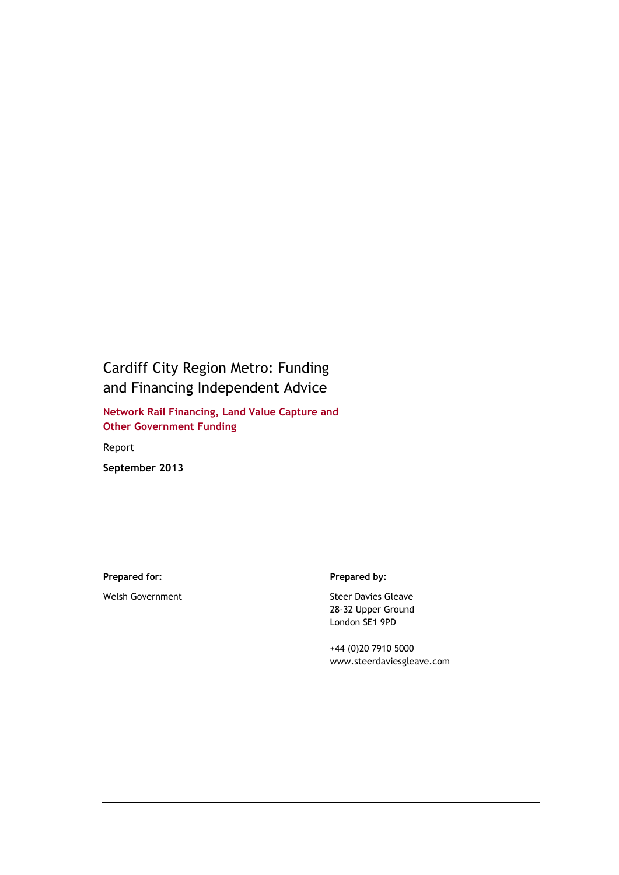# Cardiff City Region Metro: Funding and Financing Independent Advice

**Network Rail Financing, Land Value Capture and Other Government Funding**

Report

**September 2013**

# Welsh Government

#### **Prepared for: Prepared by:**

Steer Davies Gleave 28-32 Upper Ground London SE1 9PD

+44 (0)20 7910 5000 www.steerdaviesgleave.com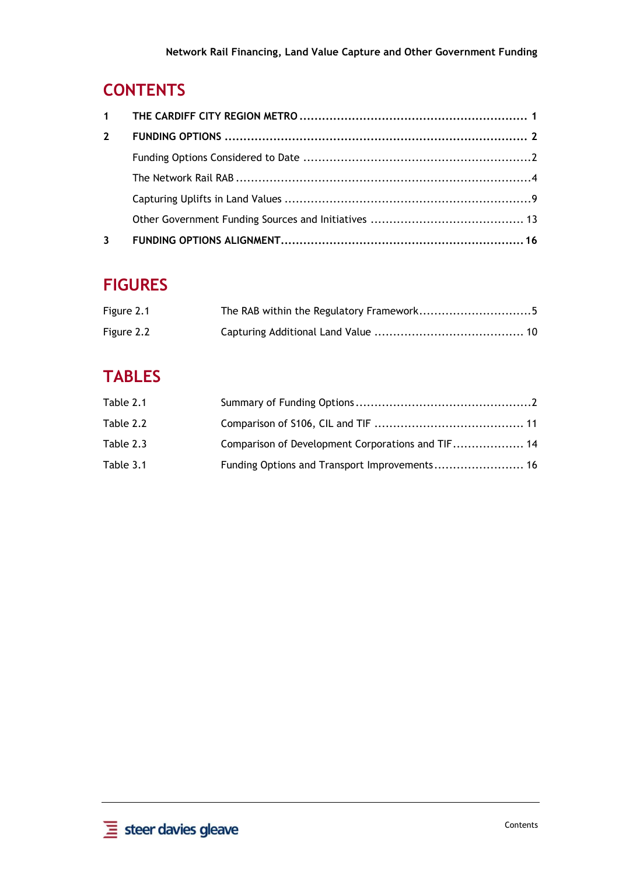# **CONTENTS**

| $2^{\circ}$  |  |
|--------------|--|
|              |  |
|              |  |
|              |  |
|              |  |
| $\mathbf{3}$ |  |

# **FIGURES**

| Figure 2.1 |  |
|------------|--|
| Figure 2.2 |  |

# **TABLES**

| Table 2.1 |                                                   |  |
|-----------|---------------------------------------------------|--|
| Table 2.2 |                                                   |  |
| Table 2.3 | Comparison of Development Corporations and TIF 14 |  |
| Table 3.1 |                                                   |  |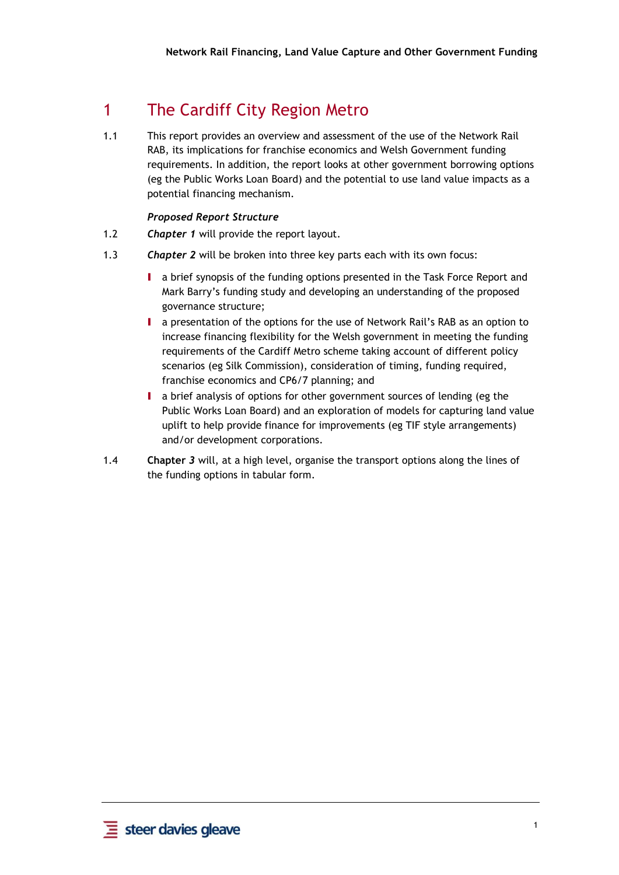# <span id="page-6-0"></span>1 The Cardiff City Region Metro

1.1 This report provides an overview and assessment of the use of the Network Rail RAB, its implications for franchise economics and Welsh Government funding requirements. In addition, the report looks at other government borrowing options (eg the Public Works Loan Board) and the potential to use land value impacts as a potential financing mechanism.

#### *Proposed Report Structure*

- 1.2 *Chapter 1* will provide the report layout.
- 1.3 *Chapter 2* will be broken into three key parts each with its own focus:
	- I a brief synopsis of the funding options presented in the Task Force Report and Mark Barry's funding study and developing an understanding of the proposed governance structure;
	- I a presentation of the options for the use of Network Rail's RAB as an option to increase financing flexibility for the Welsh government in meeting the funding requirements of the Cardiff Metro scheme taking account of different policy scenarios (eg Silk Commission), consideration of timing, funding required, franchise economics and CP6/7 planning; and
	- I a brief analysis of options for other government sources of lending (eg the Public Works Loan Board) and an exploration of models for capturing land value uplift to help provide finance for improvements (eg TIF style arrangements) and/or development corporations.
- 1.4 **Chapter** *3* will, at a high level, organise the transport options along the lines of the funding options in tabular form.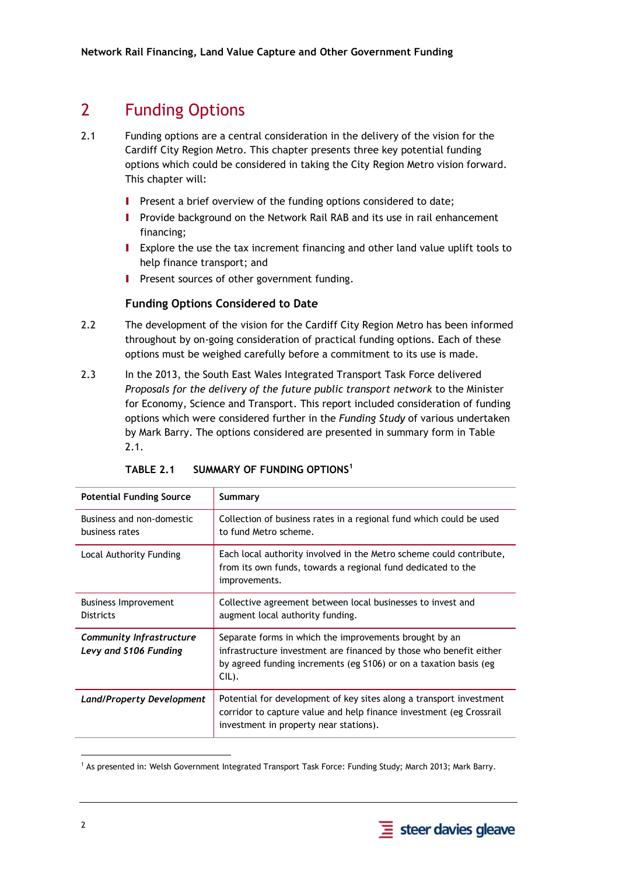# <span id="page-7-0"></span>2 Funding Options

- 2.1 Funding options are a central consideration in the delivery of the vision for the Cardiff City Region Metro. This chapter presents three key potential funding options which could be considered in taking the City Region Metro vision forward. This chapter will:
	- **I** Present a brief overview of the funding options considered to date;
	- **I** Provide background on the Network Rail RAB and its use in rail enhancement financing;
	- I Explore the use the tax increment financing and other land value uplift tools to help finance transport; and
	- **I** Present sources of other government funding.

#### **Funding Options Considered to Date**

- <span id="page-7-1"></span>2.2 The development of the vision for the Cardiff City Region Metro has been informed throughout by on-going consideration of practical funding options. Each of these options must be weighed carefully before a commitment to its use is made.
- 2.3 In the 2013, the South East Wales Integrated Transport Task Force delivered *Proposals for the delivery of the future public transport network* to the Minister for Economy, Science and Transport. This report included consideration of funding options which were considered further in the *Funding Study* of various undertaken by Mark Barry. The options considered are presented in summary form in [Table](#page-7-2)  [2.1.](#page-7-2)

<span id="page-7-2"></span>

| <b>Potential Funding Source</b>                          | Summary                                                                                                                                                                                                    |
|----------------------------------------------------------|------------------------------------------------------------------------------------------------------------------------------------------------------------------------------------------------------------|
| Business and non-domestic<br>business rates              | Collection of business rates in a regional fund which could be used<br>to fund Metro scheme.                                                                                                               |
| Local Authority Funding                                  | Each local authority involved in the Metro scheme could contribute,<br>from its own funds, towards a regional fund dedicated to the<br>improvements.                                                       |
| <b>Business Improvement</b><br><b>Districts</b>          | Collective agreement between local businesses to invest and<br>augment local authority funding.                                                                                                            |
| <b>Community Infrastructure</b><br>Levy and S106 Funding | Separate forms in which the improvements brought by an<br>infrastructure investment are financed by those who benefit either<br>by agreed funding increments (eg S106) or on a taxation basis (eg<br>CIL). |
| <b>Land/Property Development</b>                         | Potential for development of key sites along a transport investment<br>corridor to capture value and help finance investment (eg Crossrail<br>investment in property near stations).                       |

#### **TABLE 2.1 SUMMARY OF FUNDING OPTIONS<sup>1</sup>**



-

<sup>1</sup> As presented in: Welsh Government Integrated Transport Task Force: Funding Study; March 2013; Mark Barry.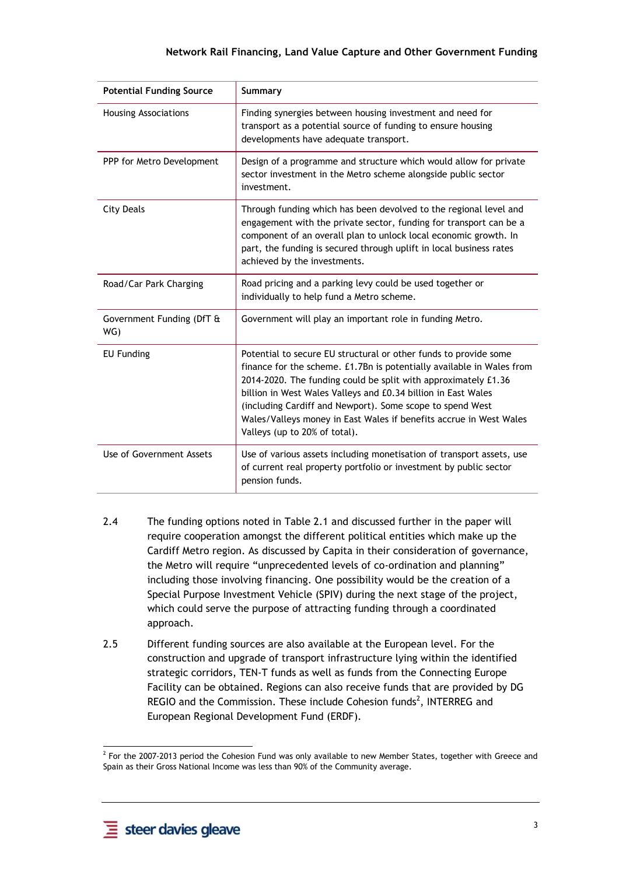#### **Network Rail Financing, Land Value Capture and Other Government Funding**

| <b>Potential Funding Source</b>  | Summary                                                                                                                                                                                                                                                                                                                                                                                                                                          |
|----------------------------------|--------------------------------------------------------------------------------------------------------------------------------------------------------------------------------------------------------------------------------------------------------------------------------------------------------------------------------------------------------------------------------------------------------------------------------------------------|
| <b>Housing Associations</b>      | Finding synergies between housing investment and need for<br>transport as a potential source of funding to ensure housing<br>developments have adequate transport.                                                                                                                                                                                                                                                                               |
| PPP for Metro Development        | Design of a programme and structure which would allow for private<br>sector investment in the Metro scheme alongside public sector<br>investment.                                                                                                                                                                                                                                                                                                |
| <b>City Deals</b>                | Through funding which has been devolved to the regional level and<br>engagement with the private sector, funding for transport can be a<br>component of an overall plan to unlock local economic growth. In<br>part, the funding is secured through uplift in local business rates<br>achieved by the investments.                                                                                                                               |
| Road/Car Park Charging           | Road pricing and a parking levy could be used together or<br>individually to help fund a Metro scheme.                                                                                                                                                                                                                                                                                                                                           |
| Government Funding (DfT &<br>WG) | Government will play an important role in funding Metro.                                                                                                                                                                                                                                                                                                                                                                                         |
| <b>EU Funding</b>                | Potential to secure EU structural or other funds to provide some<br>finance for the scheme. £1.7Bn is potentially available in Wales from<br>2014-2020. The funding could be split with approximately £1.36<br>billion in West Wales Valleys and £0.34 billion in East Wales<br>(including Cardiff and Newport). Some scope to spend West<br>Wales/Valleys money in East Wales if benefits accrue in West Wales<br>Valleys (up to 20% of total). |
| Use of Government Assets         | Use of various assets including monetisation of transport assets, use<br>of current real property portfolio or investment by public sector<br>pension funds.                                                                                                                                                                                                                                                                                     |

- 2.4 The funding options noted in [Table 2.1](#page-7-2) and discussed further in the paper will require cooperation amongst the different political entities which make up the Cardiff Metro region. As discussed by Capita in their consideration of governance, the Metro will require "unprecedented levels of co-ordination and planning" including those involving financing. One possibility would be the creation of a Special Purpose Investment Vehicle (SPIV) during the next stage of the project, which could serve the purpose of attracting funding through a coordinated approach.
- 2.5 Different funding sources are also available at the European level. For the construction and upgrade of transport infrastructure lying within the identified strategic corridors, TEN-T funds as well as funds from the Connecting Europe Facility can be obtained. Regions can also receive funds that are provided by DG REGIO and the Commission. These include Cohesion funds<sup>2</sup>, INTERREG and European Regional Development Fund (ERDF).

 2 For the 2007-2013 period the Cohesion Fund was only available to new Member States, together with Greece and Spain as their Gross National Income was less than 90% of the Community average.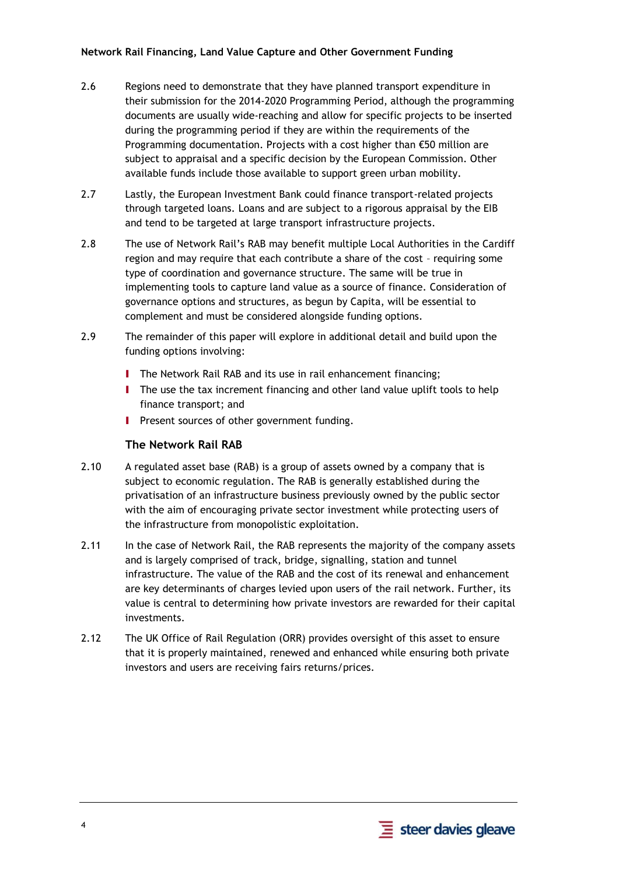- 2.6 Regions need to demonstrate that they have planned transport expenditure in their submission for the 2014-2020 Programming Period, although the programming documents are usually wide-reaching and allow for specific projects to be inserted during the programming period if they are within the requirements of the Programming documentation. Projects with a cost higher than €50 million are subject to appraisal and a specific decision by the European Commission. Other available funds include those available to support green urban mobility.
- 2.7 Lastly, the European Investment Bank could finance transport-related projects through targeted loans. Loans and are subject to a rigorous appraisal by the EIB and tend to be targeted at large transport infrastructure projects.
- 2.8 The use of Network Rail's RAB may benefit multiple Local Authorities in the Cardiff region and may require that each contribute a share of the cost – requiring some type of coordination and governance structure. The same will be true in implementing tools to capture land value as a source of finance. Consideration of governance options and structures, as begun by Capita, will be essential to complement and must be considered alongside funding options.
- 2.9 The remainder of this paper will explore in additional detail and build upon the funding options involving:
	- **I** The Network Rail RAB and its use in rail enhancement financing;
	- I The use the tax increment financing and other land value uplift tools to help finance transport; and
	- **I** Present sources of other government funding.

#### **The Network Rail RAB**

- <span id="page-9-0"></span>2.10 A regulated asset base (RAB) is a group of assets owned by a company that is subject to economic regulation. The RAB is generally established during the privatisation of an infrastructure business previously owned by the public sector with the aim of encouraging private sector investment while protecting users of the infrastructure from monopolistic exploitation.
- 2.11 In the case of Network Rail, the RAB represents the majority of the company assets and is largely comprised of track, bridge, signalling, station and tunnel infrastructure. The value of the RAB and the cost of its renewal and enhancement are key determinants of charges levied upon users of the rail network. Further, its value is central to determining how private investors are rewarded for their capital investments.
- 2.12 The UK Office of Rail Regulation (ORR) provides oversight of this asset to ensure that it is properly maintained, renewed and enhanced while ensuring both private investors and users are receiving fairs returns/prices.

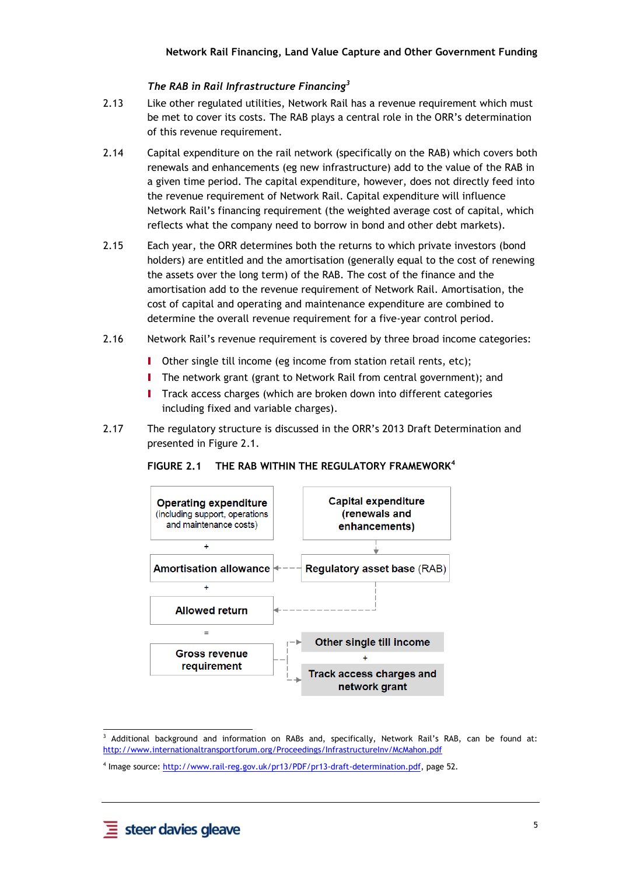#### *The RAB in Rail Infrastructure Financing<sup>3</sup>*

- 2.13 Like other regulated utilities, Network Rail has a revenue requirement which must be met to cover its costs. The RAB plays a central role in the ORR's determination of this revenue requirement.
- 2.14 Capital expenditure on the rail network (specifically on the RAB) which covers both renewals and enhancements (eg new infrastructure) add to the value of the RAB in a given time period. The capital expenditure, however, does not directly feed into the revenue requirement of Network Rail. Capital expenditure will influence Network Rail's financing requirement (the weighted average cost of capital, which reflects what the company need to borrow in bond and other debt markets).
- 2.15 Each year, the ORR determines both the returns to which private investors (bond holders) are entitled and the amortisation (generally equal to the cost of renewing the assets over the long term) of the RAB. The cost of the finance and the amortisation add to the revenue requirement of Network Rail. Amortisation, the cost of capital and operating and maintenance expenditure are combined to determine the overall revenue requirement for a five-year control period.
- 2.16 Network Rail's revenue requirement is covered by three broad income categories:
	- I Other single till income (eg income from station retail rents, etc);
	- I The network grant (grant to Network Rail from central government); and
	- **I** Track access charges (which are broken down into different categories including fixed and variable charges).
- <span id="page-10-0"></span>2.17 The regulatory structure is discussed in the ORR's 2013 Draft Determination and presented in [Figure 2.1.](#page-10-0)

#### **FIGURE 2.1 THE RAB WITHIN THE REGULATORY FRAMEWORK<sup>4</sup>**



 $\overline{a}$ <sup>3</sup> Additional background and information on RABs and, specifically, Network Rail's RAB, can be found at: <http://www.internationaltransportforum.org/Proceedings/InfrastructureInv/McMahon.pdf>

<sup>4</sup> Image source: [http://www.rail-reg.gov.uk/pr13/PDF/pr13-draft-determination.pdf,](http://www.rail-reg.gov.uk/pr13/PDF/pr13-draft-determination.pdf) page 52.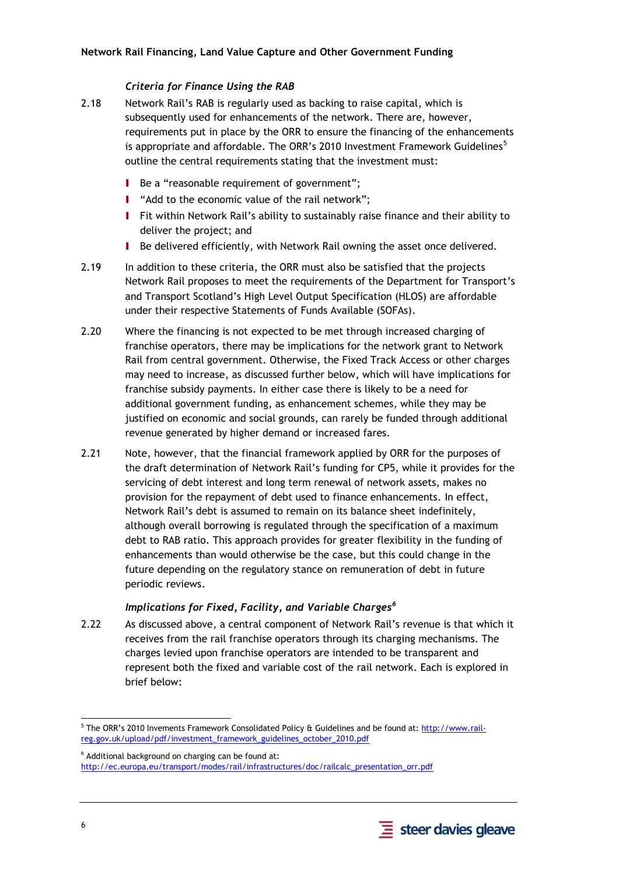#### *Criteria for Finance Using the RAB*

- 2.18 Network Rail's RAB is regularly used as backing to raise capital, which is subsequently used for enhancements of the network. There are, however, requirements put in place by the ORR to ensure the financing of the enhancements is appropriate and affordable. The ORR's 2010 Investment Framework Guidelines<sup>5</sup> outline the central requirements stating that the investment must:
	- I Be a "reasonable requirement of government";
	- **I** "Add to the economic value of the rail network";
	- I Fit within Network Rail's ability to sustainably raise finance and their ability to deliver the project; and
	- I Be delivered efficiently, with Network Rail owning the asset once delivered.
- 2.19 In addition to these criteria, the ORR must also be satisfied that the projects Network Rail proposes to meet the requirements of the Department for Transport's and Transport Scotland's High Level Output Specification (HLOS) are affordable under their respective Statements of Funds Available (SOFAs).
- 2.20 Where the financing is not expected to be met through increased charging of franchise operators, there may be implications for the network grant to Network Rail from central government. Otherwise, the Fixed Track Access or other charges may need to increase, as discussed further below, which will have implications for franchise subsidy payments. In either case there is likely to be a need for additional government funding, as enhancement schemes, while they may be justified on economic and social grounds, can rarely be funded through additional revenue generated by higher demand or increased fares.
- 2.21 Note, however, that the financial framework applied by ORR for the purposes of the draft determination of Network Rail's funding for CP5, while it provides for the servicing of debt interest and long term renewal of network assets, makes no provision for the repayment of debt used to finance enhancements. In effect, Network Rail's debt is assumed to remain on its balance sheet indefinitely, although overall borrowing is regulated through the specification of a maximum debt to RAB ratio. This approach provides for greater flexibility in the funding of enhancements than would otherwise be the case, but this could change in the future depending on the regulatory stance on remuneration of debt in future periodic reviews.

#### *Implications for Fixed, Facility, and Variable Charges<sup>6</sup>*

2.22 As discussed above, a central component of Network Rail's revenue is that which it receives from the rail franchise operators through its charging mechanisms. The charges levied upon franchise operators are intended to be transparent and represent both the fixed and variable cost of the rail network. Each is explored in brief below:

<sup>1</sup> <sup>5</sup> The ORR's 2010 Invements Framework Consolidated Policy & Guidelines and be found at[: http://www.rail](http://www.rail-reg.gov.uk/upload/pdf/investment_framework_guidelines_october_2010.pdf)[reg.gov.uk/upload/pdf/investment\\_framework\\_guidelines\\_october\\_2010.pdf](http://www.rail-reg.gov.uk/upload/pdf/investment_framework_guidelines_october_2010.pdf)

<sup>&</sup>lt;sup>6</sup> Additional background on charging can be found at:

[http://ec.europa.eu/transport/modes/rail/infrastructures/doc/railcalc\\_presentation\\_orr.pdf](http://ec.europa.eu/transport/modes/rail/infrastructures/doc/railcalc_presentation_orr.pdf)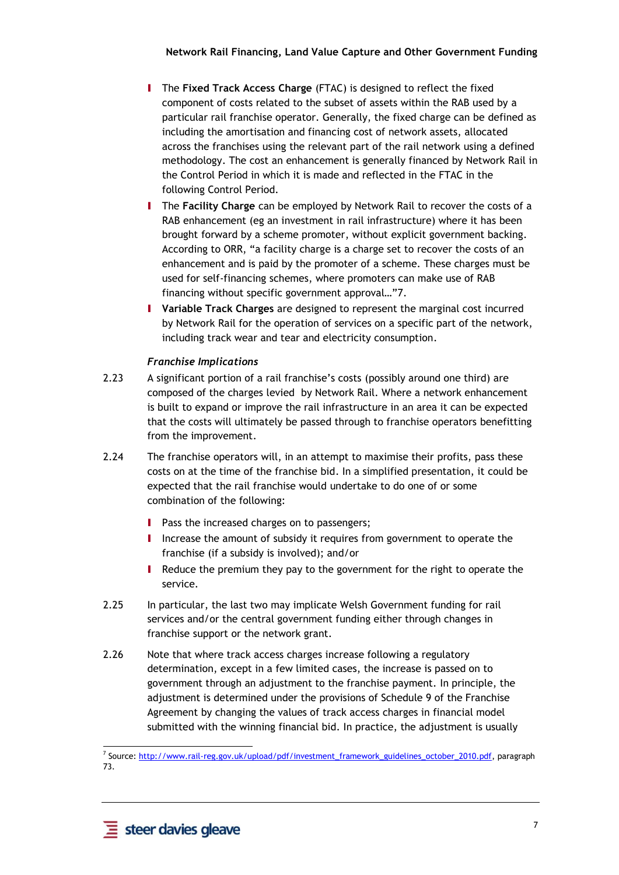- I The **Fixed Track Access Charge** (FTAC) is designed to reflect the fixed component of costs related to the subset of assets within the RAB used by a particular rail franchise operator. Generally, the fixed charge can be defined as including the amortisation and financing cost of network assets, allocated across the franchises using the relevant part of the rail network using a defined methodology. The cost an enhancement is generally financed by Network Rail in the Control Period in which it is made and reflected in the FTAC in the following Control Period.
- I The **Facility Charge** can be employed by Network Rail to recover the costs of a RAB enhancement (eg an investment in rail infrastructure) where it has been brought forward by a scheme promoter, without explicit government backing. According to ORR, "a facility charge is a charge set to recover the costs of an enhancement and is paid by the promoter of a scheme. These charges must be used for self-financing schemes, where promoters can make use of RAB financing without specific government approval…"7.
- I **Variable Track Charges** are designed to represent the marginal cost incurred by Network Rail for the operation of services on a specific part of the network, including track wear and tear and electricity consumption.

#### *Franchise Implications*

- 2.23 A significant portion of a rail franchise's costs (possibly around one third) are composed of the charges levied by Network Rail. Where a network enhancement is built to expand or improve the rail infrastructure in an area it can be expected that the costs will ultimately be passed through to franchise operators benefitting from the improvement.
- 2.24 The franchise operators will, in an attempt to maximise their profits, pass these costs on at the time of the franchise bid. In a simplified presentation, it could be expected that the rail franchise would undertake to do one of or some combination of the following:
	- **I** Pass the increased charges on to passengers;
	- I Increase the amount of subsidy it requires from government to operate the franchise (if a subsidy is involved); and/or
	- I Reduce the premium they pay to the government for the right to operate the service.
- 2.25 In particular, the last two may implicate Welsh Government funding for rail services and/or the central government funding either through changes in franchise support or the network grant.
- 2.26 Note that where track access charges increase following a regulatory determination, except in a few limited cases, the increase is passed on to government through an adjustment to the franchise payment. In principle, the adjustment is determined under the provisions of Schedule 9 of the Franchise Agreement by changing the values of track access charges in financial model submitted with the winning financial bid. In practice, the adjustment is usually

 7 Source[: http://www.rail-reg.gov.uk/upload/pdf/investment\\_framework\\_guidelines\\_october\\_2010.pdf,](http://www.rail-reg.gov.uk/upload/pdf/investment_framework_guidelines_october_2010.pdf) paragraph 73.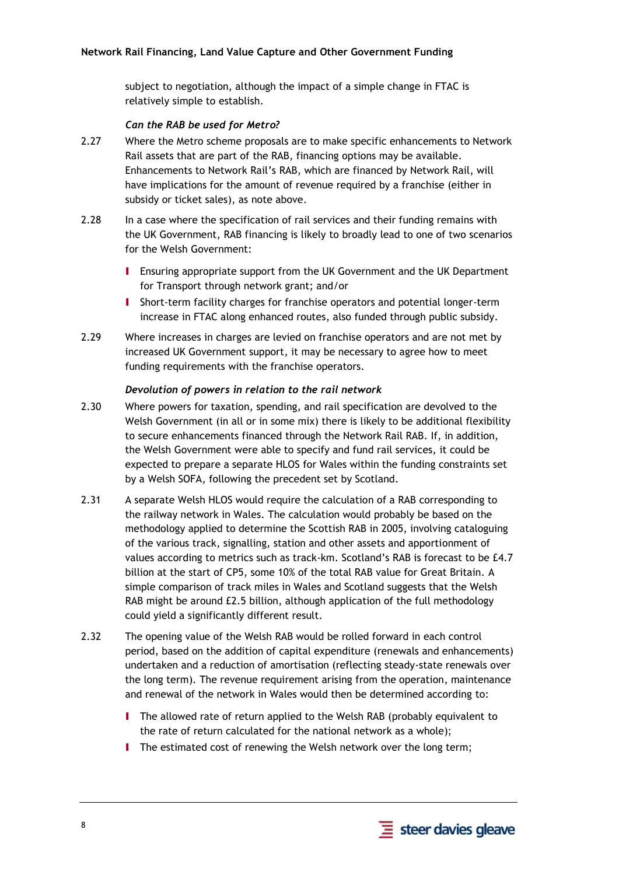subject to negotiation, although the impact of a simple change in FTAC is relatively simple to establish.

#### *Can the RAB be used for Metro?*

- 2.27 Where the Metro scheme proposals are to make specific enhancements to Network Rail assets that are part of the RAB, financing options may be available. Enhancements to Network Rail's RAB, which are financed by Network Rail, will have implications for the amount of revenue required by a franchise (either in subsidy or ticket sales), as note above.
- 2.28 In a case where the specification of rail services and their funding remains with the UK Government, RAB financing is likely to broadly lead to one of two scenarios for the Welsh Government:
	- I Ensuring appropriate support from the UK Government and the UK Department for Transport through network grant; and/or
	- I Short-term facility charges for franchise operators and potential longer-term increase in FTAC along enhanced routes, also funded through public subsidy.
- 2.29 Where increases in charges are levied on franchise operators and are not met by increased UK Government support, it may be necessary to agree how to meet funding requirements with the franchise operators.

#### *Devolution of powers in relation to the rail network*

- 2.30 Where powers for taxation, spending, and rail specification are devolved to the Welsh Government (in all or in some mix) there is likely to be additional flexibility to secure enhancements financed through the Network Rail RAB. If, in addition, the Welsh Government were able to specify and fund rail services, it could be expected to prepare a separate HLOS for Wales within the funding constraints set by a Welsh SOFA, following the precedent set by Scotland.
- 2.31 A separate Welsh HLOS would require the calculation of a RAB corresponding to the railway network in Wales. The calculation would probably be based on the methodology applied to determine the Scottish RAB in 2005, involving cataloguing of the various track, signalling, station and other assets and apportionment of values according to metrics such as track-km. Scotland's RAB is forecast to be £4.7 billion at the start of CP5, some 10% of the total RAB value for Great Britain. A simple comparison of track miles in Wales and Scotland suggests that the Welsh RAB might be around £2.5 billion, although application of the full methodology could yield a significantly different result.
- 2.32 The opening value of the Welsh RAB would be rolled forward in each control period, based on the addition of capital expenditure (renewals and enhancements) undertaken and a reduction of amortisation (reflecting steady-state renewals over the long term). The revenue requirement arising from the operation, maintenance and renewal of the network in Wales would then be determined according to:
	- I The allowed rate of return applied to the Welsh RAB (probably equivalent to the rate of return calculated for the national network as a whole);
	- I The estimated cost of renewing the Welsh network over the long term;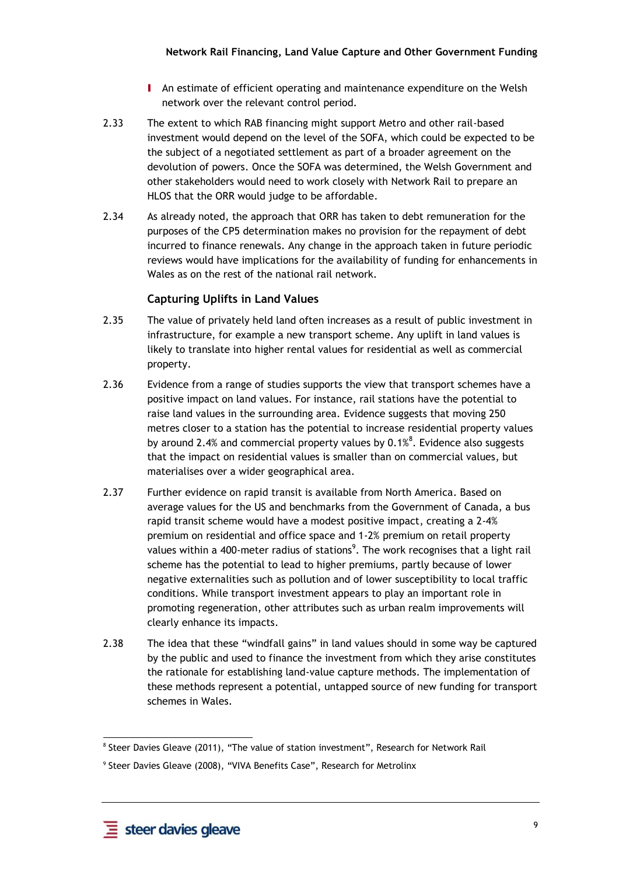- I An estimate of efficient operating and maintenance expenditure on the Welsh network over the relevant control period.
- 2.33 The extent to which RAB financing might support Metro and other rail-based investment would depend on the level of the SOFA, which could be expected to be the subject of a negotiated settlement as part of a broader agreement on the devolution of powers. Once the SOFA was determined, the Welsh Government and other stakeholders would need to work closely with Network Rail to prepare an HLOS that the ORR would judge to be affordable.
- 2.34 As already noted, the approach that ORR has taken to debt remuneration for the purposes of the CP5 determination makes no provision for the repayment of debt incurred to finance renewals. Any change in the approach taken in future periodic reviews would have implications for the availability of funding for enhancements in Wales as on the rest of the national rail network.

#### **Capturing Uplifts in Land Values**

- <span id="page-14-0"></span>2.35 The value of privately held land often increases as a result of public investment in infrastructure, for example a new transport scheme. Any uplift in land values is likely to translate into higher rental values for residential as well as commercial property.
- 2.36 Evidence from a range of studies supports the view that transport schemes have a positive impact on land values. For instance, rail stations have the potential to raise land values in the surrounding area. Evidence suggests that moving 250 metres closer to a station has the potential to increase residential property values by around 2.4% and commercial property values by  $0.1\%$ <sup>8</sup>. Evidence also suggests that the impact on residential values is smaller than on commercial values, but materialises over a wider geographical area.
- 2.37 Further evidence on rapid transit is available from North America. Based on average values for the US and benchmarks from the Government of Canada, a bus rapid transit scheme would have a modest positive impact, creating a 2-4% premium on residential and office space and 1-2% premium on retail property values within a 400-meter radius of stations<sup>9</sup>. The work recognises that a light rail scheme has the potential to lead to higher premiums, partly because of lower negative externalities such as pollution and of lower susceptibility to local traffic conditions. While transport investment appears to play an important role in promoting regeneration, other attributes such as urban realm improvements will clearly enhance its impacts.
- 2.38 The idea that these "windfall gains" in land values should in some way be captured by the public and used to finance the investment from which they arise constitutes the rationale for establishing land-value capture methods. The implementation of these methods represent a potential, untapped source of new funding for transport schemes in Wales.

l

<sup>&</sup>lt;sup>8</sup> Steer Davies Gleave (2011), "The value of station investment", Research for Network Rail

<sup>&</sup>lt;sup>9</sup> Steer Davies Gleave (2008), "VIVA Benefits Case", Research for Metrolinx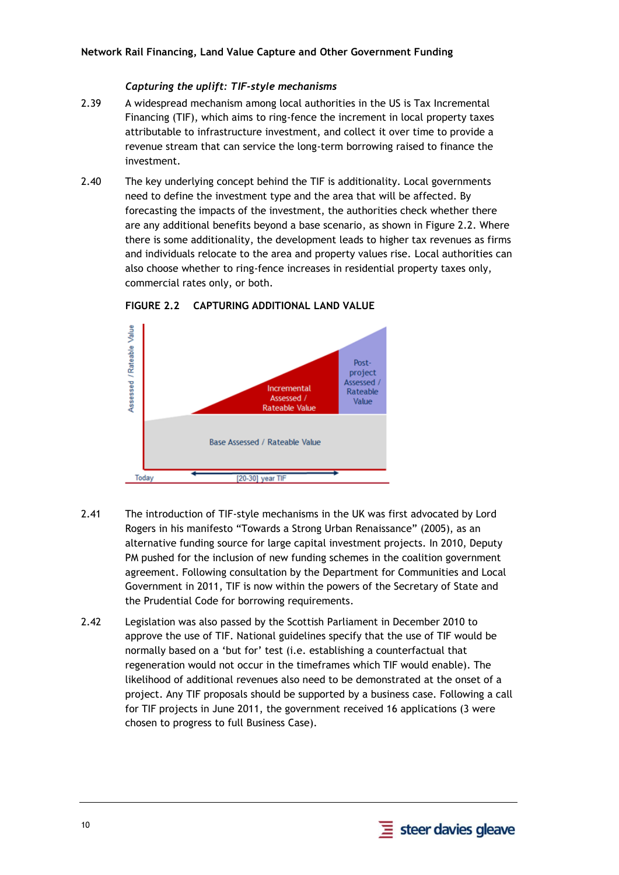#### *Capturing the uplift: TIF-style mechanisms*

- 2.39 A widespread mechanism among local authorities in the US is Tax Incremental Financing (TIF), which aims to ring-fence the increment in local property taxes attributable to infrastructure investment, and collect it over time to provide a revenue stream that can service the long-term borrowing raised to finance the investment.
- 2.40 The key underlying concept behind the TIF is additionality. Local governments need to define the investment type and the area that will be affected. By forecasting the impacts of the investment, the authorities check whether there are any additional benefits beyond a base scenario, as shown in [Figure 2.2.](#page-15-0) Where there is some additionality, the development leads to higher tax revenues as firms and individuals relocate to the area and property values rise. Local authorities can also choose whether to ring-fence increases in residential property taxes only, commercial rates only, or both.

<span id="page-15-0"></span>



- 2.41 The introduction of TIF-style mechanisms in the UK was first advocated by Lord Rogers in his manifesto "Towards a Strong Urban Renaissance" (2005), as an alternative funding source for large capital investment projects. In 2010, Deputy PM pushed for the inclusion of new funding schemes in the coalition government agreement. Following consultation by the Department for Communities and Local Government in 2011, TIF is now within the powers of the Secretary of State and the Prudential Code for borrowing requirements.
- 2.42 Legislation was also passed by the Scottish Parliament in December 2010 to approve the use of TIF. National guidelines specify that the use of TIF would be normally based on a 'but for' test (i.e. establishing a counterfactual that regeneration would not occur in the timeframes which TIF would enable). The likelihood of additional revenues also need to be demonstrated at the onset of a project. Any TIF proposals should be supported by a business case. Following a call for TIF projects in June 2011, the government received 16 applications (3 were chosen to progress to full Business Case).

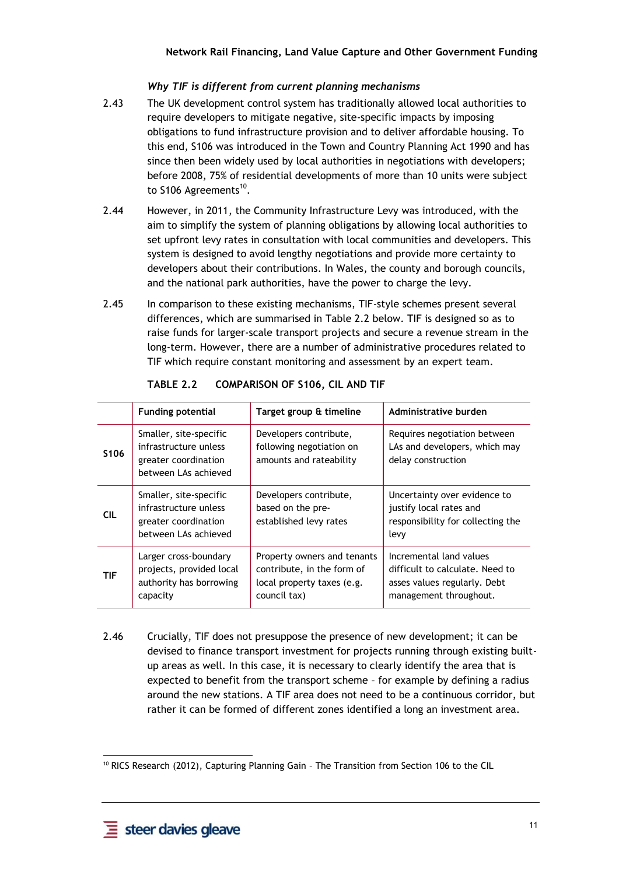#### *Why TIF is different from current planning mechanisms*

- 2.43 The UK development control system has traditionally allowed local authorities to require developers to mitigate negative, site-specific impacts by imposing obligations to fund infrastructure provision and to deliver affordable housing. To this end, S106 was introduced in the Town and Country Planning Act 1990 and has since then been widely used by local authorities in negotiations with developers; before 2008, 75% of residential developments of more than 10 units were subject to S106 Agreements<sup>10</sup>.
- 2.44 However, in 2011, the Community Infrastructure Levy was introduced, with the aim to simplify the system of planning obligations by allowing local authorities to set upfront levy rates in consultation with local communities and developers. This system is designed to avoid lengthy negotiations and provide more certainty to developers about their contributions. In Wales, the county and borough councils, and the national park authorities, have the power to charge the levy.
- 2.45 In comparison to these existing mechanisms, TIF-style schemes present several differences, which are summarised in [Table 2.2](#page-16-0) below. TIF is designed so as to raise funds for larger-scale transport projects and secure a revenue stream in the long-term. However, there are a number of administrative procedures related to TIF which require constant monitoring and assessment by an expert team.

<span id="page-16-0"></span>

|            | <b>Funding potential</b>                                                                        | Target group & timeline                                                                                 | Administrative burden                                                                                                |
|------------|-------------------------------------------------------------------------------------------------|---------------------------------------------------------------------------------------------------------|----------------------------------------------------------------------------------------------------------------------|
| S106       | Smaller, site-specific<br>infrastructure unless<br>greater coordination<br>between LAs achieved | Developers contribute,<br>following negotiation on<br>amounts and rateability                           | Requires negotiation between<br>LAs and developers, which may<br>delay construction                                  |
| <b>CIL</b> | Smaller, site-specific<br>infrastructure unless<br>greater coordination<br>between LAs achieved | Developers contribute,<br>based on the pre-<br>established levy rates                                   | Uncertainty over evidence to<br>justify local rates and<br>responsibility for collecting the<br>levy                 |
| <b>TIF</b> | Larger cross-boundary<br>projects, provided local<br>authority has borrowing<br>capacity        | Property owners and tenants<br>contribute, in the form of<br>local property taxes (e.g.<br>council tax) | Incremental land values<br>difficult to calculate. Need to<br>asses values regularly. Debt<br>management throughout. |

#### **TABLE 2.2 COMPARISON OF S106, CIL AND TIF**

2.46 Crucially, TIF does not presuppose the presence of new development; it can be devised to finance transport investment for projects running through existing builtup areas as well. In this case, it is necessary to clearly identify the area that is expected to benefit from the transport scheme – for example by defining a radius around the new stations. A TIF area does not need to be a continuous corridor, but rather it can be formed of different zones identified a long an investment area.

 $\overline{a}$ <sup>10</sup> RICS Research (2012), Capturing Planning Gain - The Transition from Section 106 to the CIL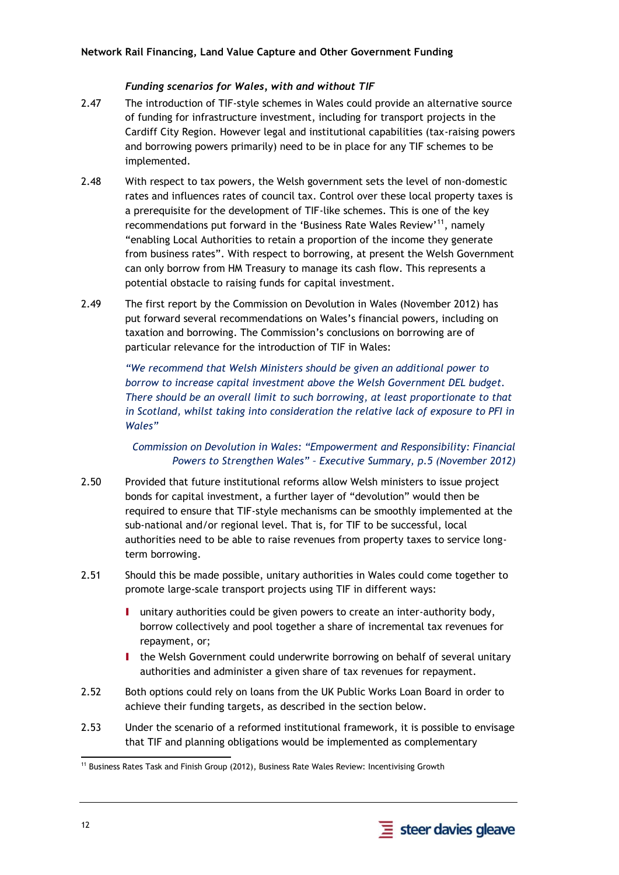#### *Funding scenarios for Wales, with and without TIF*

- 2.47 The introduction of TIF-style schemes in Wales could provide an alternative source of funding for infrastructure investment, including for transport projects in the Cardiff City Region. However legal and institutional capabilities (tax-raising powers and borrowing powers primarily) need to be in place for any TIF schemes to be implemented.
- 2.48 With respect to tax powers, the Welsh government sets the level of non-domestic rates and influences rates of council tax. Control over these local property taxes is a prerequisite for the development of TIF-like schemes. This is one of the key recommendations put forward in the 'Business Rate Wales Review'<sup>11</sup>, namely "enabling Local Authorities to retain a proportion of the income they generate from business rates". With respect to borrowing, at present the Welsh Government can only borrow from HM Treasury to manage its cash flow. This represents a potential obstacle to raising funds for capital investment.
- 2.49 The first report by the Commission on Devolution in Wales (November 2012) has put forward several recommendations on Wales's financial powers, including on taxation and borrowing. The Commission's conclusions on borrowing are of particular relevance for the introduction of TIF in Wales:

*"We recommend that Welsh Ministers should be given an additional power to borrow to increase capital investment above the Welsh Government DEL budget. There should be an overall limit to such borrowing, at least proportionate to that in Scotland, whilst taking into consideration the relative lack of exposure to PFI in Wales"*

*Commission on Devolution in Wales: "Empowerment and Responsibility: Financial Powers to Strengthen Wales" – Executive Summary, p.5 (November 2012)*

- 2.50 Provided that future institutional reforms allow Welsh ministers to issue project bonds for capital investment, a further layer of "devolution" would then be required to ensure that TIF-style mechanisms can be smoothly implemented at the sub-national and/or regional level. That is, for TIF to be successful, local authorities need to be able to raise revenues from property taxes to service longterm borrowing.
- 2.51 Should this be made possible, unitary authorities in Wales could come together to promote large-scale transport projects using TIF in different ways:
	- I unitary authorities could be given powers to create an inter-authority body, borrow collectively and pool together a share of incremental tax revenues for repayment, or;
	- I the Welsh Government could underwrite borrowing on behalf of several unitary authorities and administer a given share of tax revenues for repayment.
- 2.52 Both options could rely on loans from the UK Public Works Loan Board in order to achieve their funding targets, as described in the section below.
- 2.53 Under the scenario of a reformed institutional framework, it is possible to envisage that TIF and planning obligations would be implemented as complementary

 $\overline{a}$ <sup>11</sup> Business Rates Task and Finish Group (2012), Business Rate Wales Review: Incentivising Growth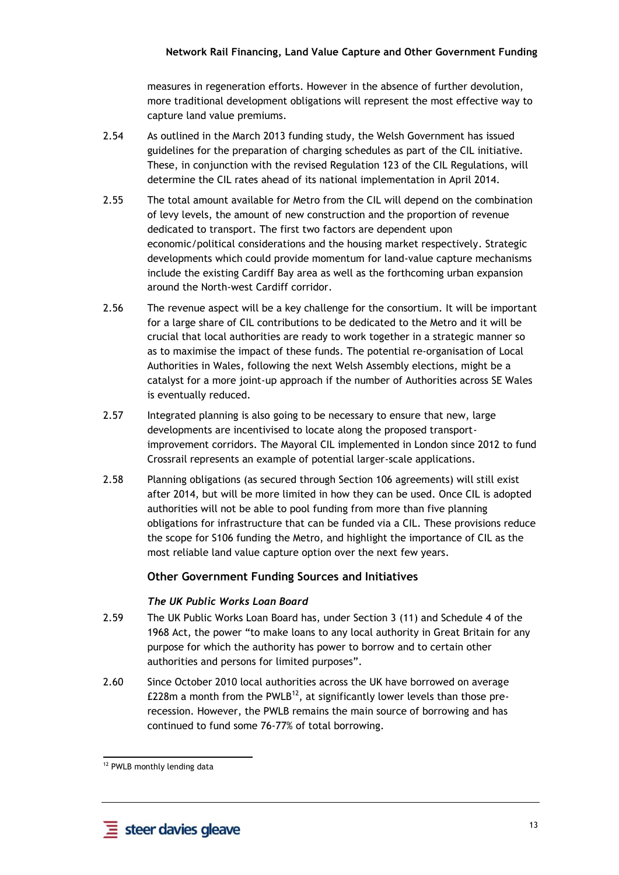#### **Network Rail Financing, Land Value Capture and Other Government Funding**

measures in regeneration efforts. However in the absence of further devolution, more traditional development obligations will represent the most effective way to capture land value premiums.

- 2.54 As outlined in the March 2013 funding study, the Welsh Government has issued guidelines for the preparation of charging schedules as part of the CIL initiative. These, in conjunction with the revised Regulation 123 of the CIL Regulations, will determine the CIL rates ahead of its national implementation in April 2014.
- 2.55 The total amount available for Metro from the CIL will depend on the combination of levy levels, the amount of new construction and the proportion of revenue dedicated to transport. The first two factors are dependent upon economic/political considerations and the housing market respectively. Strategic developments which could provide momentum for land-value capture mechanisms include the existing Cardiff Bay area as well as the forthcoming urban expansion around the North-west Cardiff corridor.
- 2.56 The revenue aspect will be a key challenge for the consortium. It will be important for a large share of CIL contributions to be dedicated to the Metro and it will be crucial that local authorities are ready to work together in a strategic manner so as to maximise the impact of these funds. The potential re-organisation of Local Authorities in Wales, following the next Welsh Assembly elections, might be a catalyst for a more joint-up approach if the number of Authorities across SE Wales is eventually reduced.
- 2.57 Integrated planning is also going to be necessary to ensure that new, large developments are incentivised to locate along the proposed transportimprovement corridors. The Mayoral CIL implemented in London since 2012 to fund Crossrail represents an example of potential larger-scale applications.
- 2.58 Planning obligations (as secured through Section 106 agreements) will still exist after 2014, but will be more limited in how they can be used. Once CIL is adopted authorities will not be able to pool funding from more than five planning obligations for infrastructure that can be funded via a CIL. These provisions reduce the scope for S106 funding the Metro, and highlight the importance of CIL as the most reliable land value capture option over the next few years.

#### **Other Government Funding Sources and Initiatives**

#### *The UK Public Works Loan Board*

- <span id="page-18-0"></span>2.59 The UK Public Works Loan Board has, under Section 3 (11) and Schedule 4 of the 1968 Act, the power "to make loans to any local authority in Great Britain for any purpose for which the authority has power to borrow and to certain other authorities and persons for limited purposes".
- 2.60 Since October 2010 local authorities across the UK have borrowed on average £228m a month from the PWLB<sup>12</sup>, at significantly lower levels than those prerecession. However, the PWLB remains the main source of borrowing and has continued to fund some 76-77% of total borrowing.

l

<sup>&</sup>lt;sup>12</sup> PWLB monthly lending data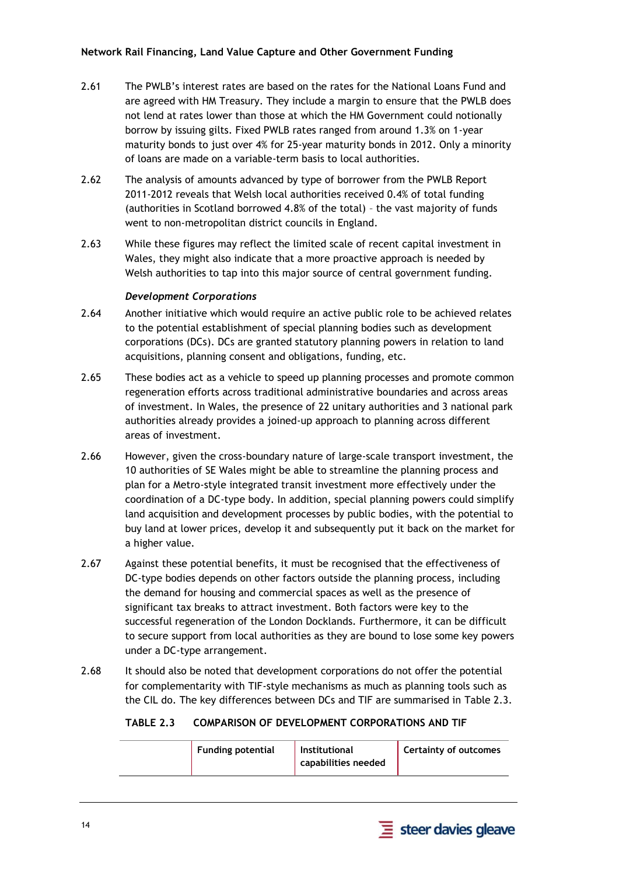- 2.61 The PWLB's interest rates are based on the rates for the National Loans Fund and are agreed with HM Treasury. They include a margin to ensure that the PWLB does not lend at rates lower than those at which the HM Government could notionally borrow by issuing gilts. Fixed PWLB rates ranged from around 1.3% on 1-year maturity bonds to just over 4% for 25-year maturity bonds in 2012. Only a minority of loans are made on a variable-term basis to local authorities.
- 2.62 The analysis of amounts advanced by type of borrower from the PWLB Report 2011-2012 reveals that Welsh local authorities received 0.4% of total funding (authorities in Scotland borrowed 4.8% of the total) – the vast majority of funds went to non-metropolitan district councils in England.
- 2.63 While these figures may reflect the limited scale of recent capital investment in Wales, they might also indicate that a more proactive approach is needed by Welsh authorities to tap into this major source of central government funding.

#### *Development Corporations*

- 2.64 Another initiative which would require an active public role to be achieved relates to the potential establishment of special planning bodies such as development corporations (DCs). DCs are granted statutory planning powers in relation to land acquisitions, planning consent and obligations, funding, etc.
- 2.65 These bodies act as a vehicle to speed up planning processes and promote common regeneration efforts across traditional administrative boundaries and across areas of investment. In Wales, the presence of 22 unitary authorities and 3 national park authorities already provides a joined-up approach to planning across different areas of investment.
- 2.66 However, given the cross-boundary nature of large-scale transport investment, the 10 authorities of SE Wales might be able to streamline the planning process and plan for a Metro-style integrated transit investment more effectively under the coordination of a DC-type body. In addition, special planning powers could simplify land acquisition and development processes by public bodies, with the potential to buy land at lower prices, develop it and subsequently put it back on the market for a higher value.
- 2.67 Against these potential benefits, it must be recognised that the effectiveness of DC-type bodies depends on other factors outside the planning process, including the demand for housing and commercial spaces as well as the presence of significant tax breaks to attract investment. Both factors were key to the successful regeneration of the London Docklands. Furthermore, it can be difficult to secure support from local authorities as they are bound to lose some key powers under a DC-type arrangement.
- 2.68 It should also be noted that development corporations do not offer the potential for complementarity with TIF-style mechanisms as much as planning tools such as the CIL do. The key differences between DCs and TIF are summarised in [Table 2.3.](#page-19-0)

#### <span id="page-19-0"></span>**TABLE 2.3 COMPARISON OF DEVELOPMENT CORPORATIONS AND TIF**

| <b>Funding potential</b> | Institutional<br>, capabilities needed | <b>Certainty of outcomes</b> |
|--------------------------|----------------------------------------|------------------------------|
|                          |                                        |                              |

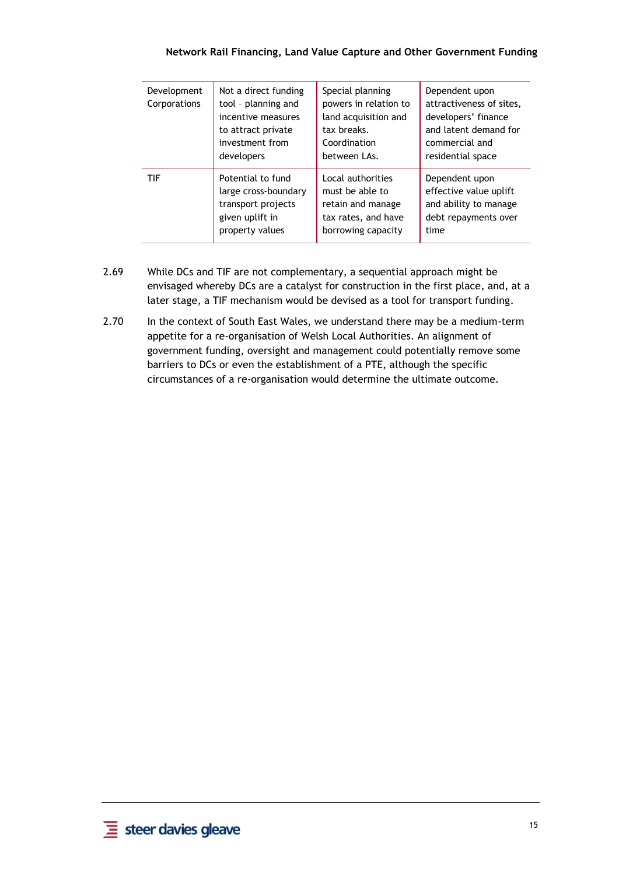#### **Network Rail Financing, Land Value Capture and Other Government Funding**

| Development<br>Corporations | Not a direct funding<br>tool - planning and<br>incentive measures<br>to attract private<br>investment from<br>developers | Special planning<br>powers in relation to<br>land acquisition and<br>tax breaks.<br>Coordination<br>between LAs. | Dependent upon<br>attractiveness of sites,<br>developers' finance<br>and latent demand for<br>commercial and<br>residential space |
|-----------------------------|--------------------------------------------------------------------------------------------------------------------------|------------------------------------------------------------------------------------------------------------------|-----------------------------------------------------------------------------------------------------------------------------------|
| <b>TIF</b>                  | Potential to fund<br>large cross-boundary<br>transport projects<br>given uplift in<br>property values                    | Local authorities<br>must be able to<br>retain and manage<br>tax rates, and have<br>borrowing capacity           | Dependent upon<br>effective value uplift<br>and ability to manage<br>debt repayments over<br>time                                 |

- 2.69 While DCs and TIF are not complementary, a sequential approach might be envisaged whereby DCs are a catalyst for construction in the first place, and, at a later stage, a TIF mechanism would be devised as a tool for transport funding.
- 2.70 In the context of South East Wales, we understand there may be a medium-term appetite for a re-organisation of Welsh Local Authorities. An alignment of government funding, oversight and management could potentially remove some barriers to DCs or even the establishment of a PTE, although the specific circumstances of a re-organisation would determine the ultimate outcome.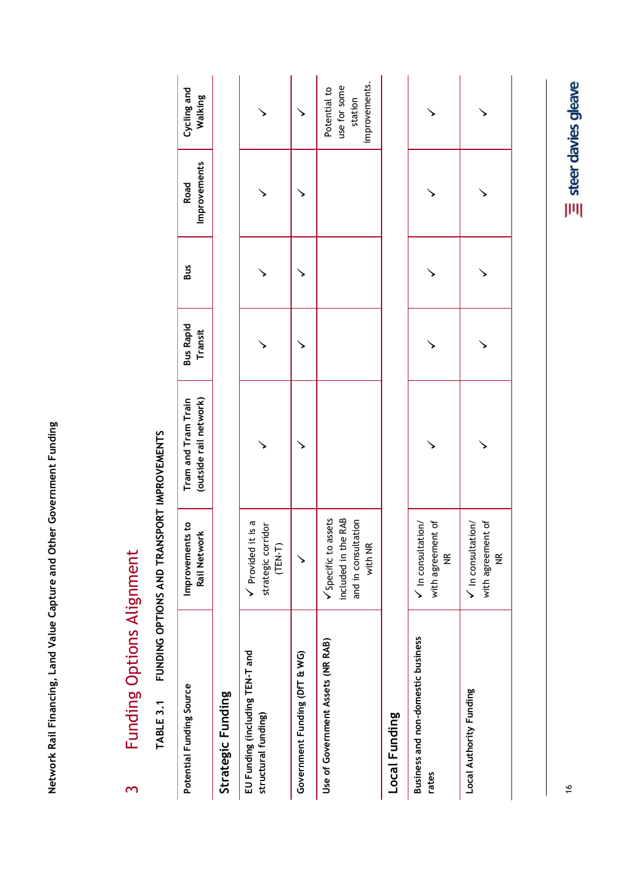<span id="page-21-1"></span><span id="page-21-0"></span>

| :<br>+ בותחות<br> <br> <br> <br> <br> <br>                           |
|----------------------------------------------------------------------|
| ravarnman                                                            |
|                                                                      |
|                                                                      |
|                                                                      |
|                                                                      |
|                                                                      |
| k Rail Financing, Land Value Capture and Other G<br>ري<br>Tollo<br>į |
|                                                                      |
| Network                                                              |

# Funding Options Alignment Funding Options Alignment

 $\overline{3}$ 

# TABLE 3.1 FUNDING OPTIONS AND TRANSPORT IMPROVEMENTS **TABLE 3.1 FUNDING OPTIONS AND TRANSPORT IMPROVEMENTS**

| Potential Funding Source                               | Improvements to<br>Rail Network                                               | (outside rail network)<br>Tram and Tram Train | <b>Bus Rapid</b><br>Transit | <b>Bus</b> | Improvements<br>Road | Cycling and<br>Walking                                   |
|--------------------------------------------------------|-------------------------------------------------------------------------------|-----------------------------------------------|-----------------------------|------------|----------------------|----------------------------------------------------------|
| Strategic Funding                                      |                                                                               |                                               |                             |            |                      |                                                          |
| EU Funding (including TEN-T and<br>structural funding) | V Provided it is a<br>strategic corridor<br>$(TEN-T)$                         |                                               |                             |            |                      |                                                          |
| Government Funding (DfT & WG)                          |                                                                               |                                               |                             |            |                      |                                                          |
| Use of Government Assets (NR RAB)                      | V Specific to assets<br>included in the RAB<br>and in consultation<br>with NR |                                               |                             |            |                      | improvements.<br>use for some<br>Potential to<br>station |
| Local Funding                                          |                                                                               |                                               |                             |            |                      |                                                          |
| Business and non-domestic business<br>rates            | $\checkmark$ In consultation/<br>with agreement of<br>$\widetilde{\Xi}$       |                                               |                             |            |                      |                                                          |
| Local Authority Funding                                | with agreement of<br>$\checkmark$ In consultation/<br>$\frac{\alpha}{2}$      |                                               |                             |            |                      |                                                          |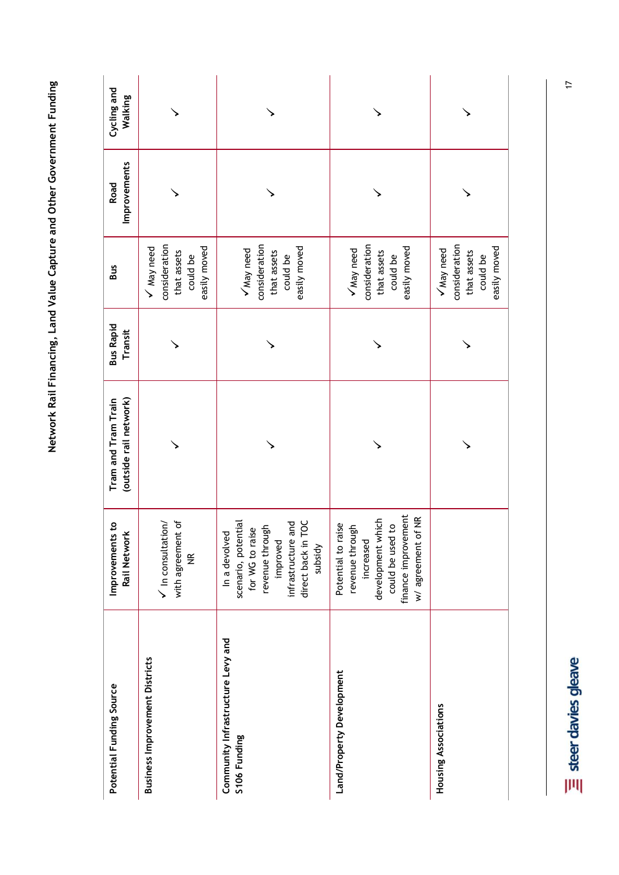| Potential Funding Source                          | Improvements to<br>Rail Network                                                                                                                  | Tram and Tram Train<br>(outside rail network) | <b>Bus Rapid</b><br>Transit | <b>Bus</b>                                                             | Improvements<br>Road | Cycling and<br>Walking |
|---------------------------------------------------|--------------------------------------------------------------------------------------------------------------------------------------------------|-----------------------------------------------|-----------------------------|------------------------------------------------------------------------|----------------------|------------------------|
| <b>Business Improvement Districts</b>             | $\checkmark$ In consultation/<br>with agreement of<br>$\widetilde{\Xi}$                                                                          |                                               |                             | consideration<br>easily moved<br>May need<br>that assets<br>could be   |                      |                        |
| Community Infrastructure Levy and<br>S106 Funding | scenario, potential<br>poc<br>infrastructure and<br>revenue through<br>for WG to raise<br>In a devolvec<br>direct back in<br>improved<br>subsidy |                                               |                             | consideration<br>easily moved<br>V May need<br>that assets<br>could be |                      |                        |
| Land/Property Development                         | finance improvement<br>w/ agreement of NR<br>development which<br>Potential to raise<br>could be used to<br>revenue through<br>increased         |                                               |                             | consideration<br>easily moved<br>V May need<br>that assets<br>could be |                      |                        |
| Housing Associations                              |                                                                                                                                                  |                                               |                             | consideration<br>easily moved<br>Way need<br>that assets<br>could be   |                      |                        |

Network Rail Financing, Land Value Capture and Other Government Funding **Network Rail Financing, Land Value Capture and Other Government Funding**

 $\equiv$  steer davies gleave

17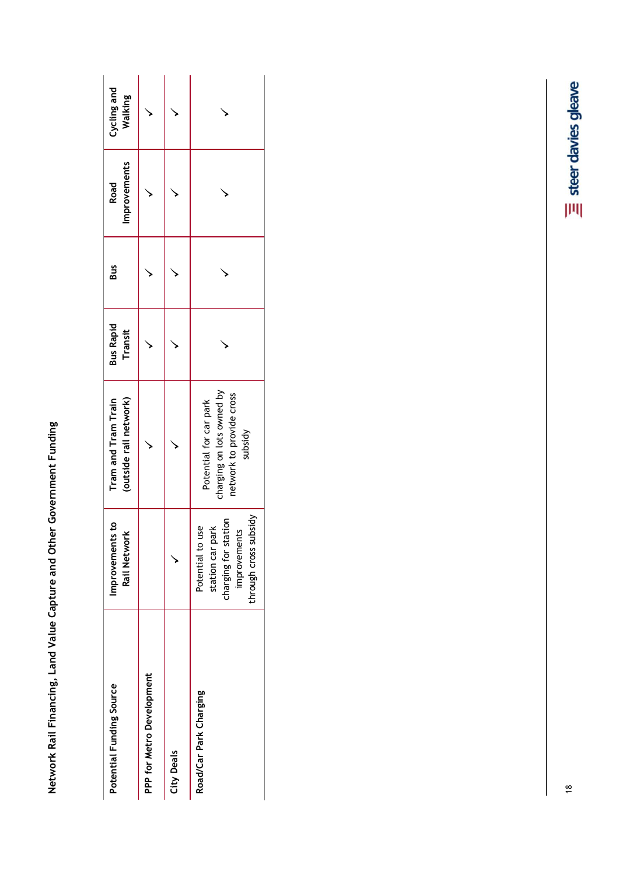Network Rail Financing, Land Value Capture and Other Government Funding **Network Rail Financing, Land Value Capture and Other Government Funding**

| Potential Funding Source  | S<br><b>Rail Network</b><br>Improvements                                                              | (outside rail network)<br>Tram and Tram Train                                              | <b>Bus Rapid</b><br>Transit | <b>Bus</b> | Improvements<br>Road | Cycling and<br>Walking |
|---------------------------|-------------------------------------------------------------------------------------------------------|--------------------------------------------------------------------------------------------|-----------------------------|------------|----------------------|------------------------|
| PPP for Metro Development |                                                                                                       |                                                                                            |                             |            |                      |                        |
| City Deals                |                                                                                                       |                                                                                            |                             |            |                      |                        |
| Road/Car Park Charging    | through cross subsidy<br>charging for station<br>Potential to use<br>station car park<br>improvements | charging on lots owned by<br>network to provide cross<br>Potential for car park<br>subsidy |                             |            |                      |                        |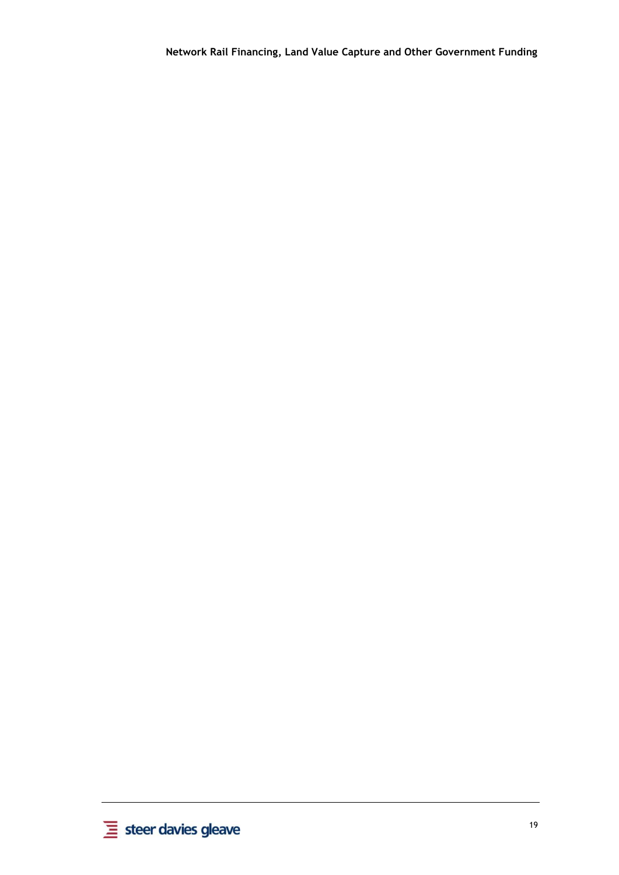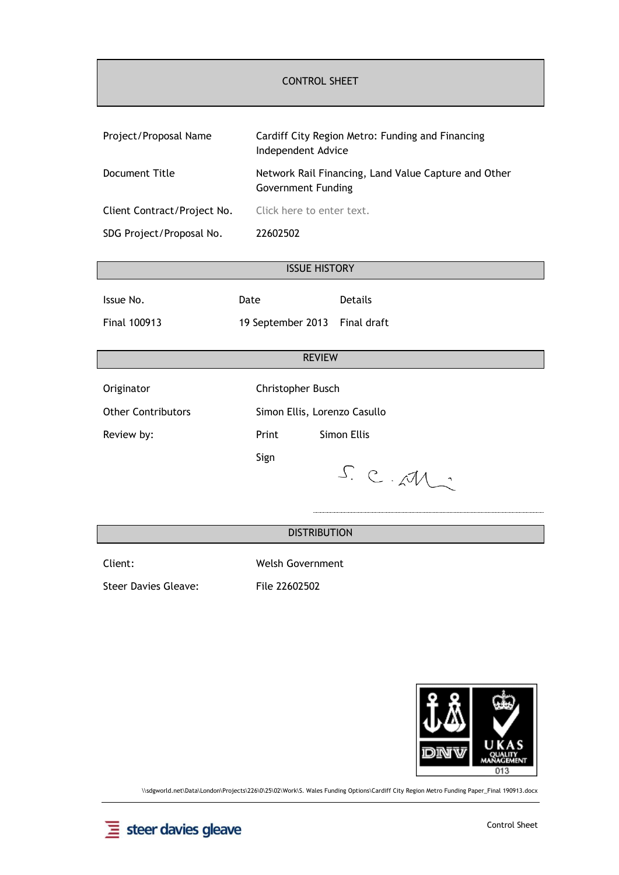#### CONTROL SHEET

| Project/Proposal Name       | Cardiff City Region Metro: Funding and Financing<br>Independent Advice            |
|-----------------------------|-----------------------------------------------------------------------------------|
| Document Title              | Network Rail Financing, Land Value Capture and Other<br><b>Government Funding</b> |
| Client Contract/Project No. | Click here to enter text.                                                         |
| SDG Project/Proposal No.    | 22602502                                                                          |

#### ISSUE HISTORY

Final 100913 19 September 2013 Final draft

Issue No. 2008 Date Details

#### REVIEW

| Originator                | Christopher Busch            |             |
|---------------------------|------------------------------|-------------|
| <b>Other Contributors</b> | Simon Ellis, Lorenzo Casullo |             |
| Review by:                | Print                        | Simon Ellis |
|                           | Sign                         |             |
|                           |                              | J.C.AM.     |

#### **DISTRIBUTION**

Client: Welsh Government Steer Davies Gleave: File 22602502



\\sdgworld.net\Data\London\Projects\226\0\25\02\Work\S. Wales Funding Options\Cardiff City Region Metro Funding Paper\_Final 190913.docx